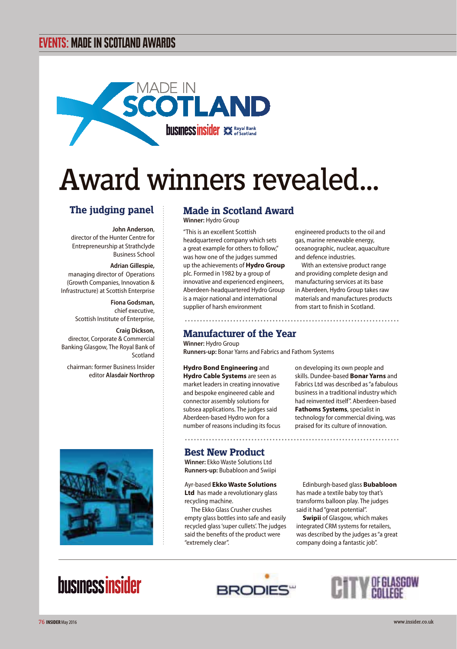### EVENTS: MADE IN SCOTLAND AWARDS



# Award winners revealed...

### **The judging panel**

**John Anderson**, director of the Hunter Centre for Entrepreneurship at Strathclyde Business School

#### **Adrian Gillespie,**

managing director of Operations (Growth Companies, Innovation & Infrastructure) at Scottish Enterprise

> **Fiona Godsman,**  chief executive, Scottish Institute of Enterprise,

**Craig Dickson,**  director, Corporate & Commercial Banking Glasgow, The Royal Bank of Scotland

chairman: former Business Insider editor **Alasdair Northrop**



### **Made in Scotland Award**

**Winner:** Hydro Group

"This is an excellent Scottish headquartered company which sets a great example for others to follow," was how one of the judges summed up the achievements of **Hydro Group** plc. Formed in 1982 by a group of innovative and experienced engineers, Aberdeen-headquartered Hydro Group is a major national and international supplier of harsh environment

engineered products to the oil and gas, marine renewable energy, oceanographic, nuclear, aquaculture and defence industries.

With an extensive product range and providing complete design and manufacturing services at its base in Aberdeen, Hydro Group takes raw materials and manufactures products from start to finish in Scotland.

### **Manufacturer of the Year**

**Winner:** Hydro Group **Runners-up:** Bonar Yarns and Fabrics and Fathom Systems

**Hydro Bond Engineering** and **Hydro Cable Systems** are seen as market leaders in creating innovative and bespoke engineered cable and connector assembly solutions for subsea applications. The judges said Aberdeen-based Hydro won for a number of reasons including its focus on developing its own people and skills. Dundee-based **Bonar Yarns** and Fabrics Ltd was described as "a fabulous business in a traditional industry which had reinvented itself". Aberdeen-based **Fathoms Systems**, specialist in technology for commercial diving, was praised for its culture of innovation.

### **Best New Product**

**Winner:** Ekko Waste Solutions Ltd **Runners-up:** Bubabloon and Swiipi

Ayr-based **Ekko Waste Solutions Ltd** has made a revolutionary glass recycling machine.

The Ekko Glass Crusher crushes empty glass bottles into safe and easily recycled glass 'super cullets'. The judges said the benefits of the product were "extremely clear".

Edinburgh-based glass **Bubabloon** has made a textile baby toy that's transforms balloon play. The judges said it had "great potential".

**Swipii** of Glasgow, which makes integrated CRM systems for retailers, was described by the judges as "a great company doing a fantastic job".

## **businessinsider**